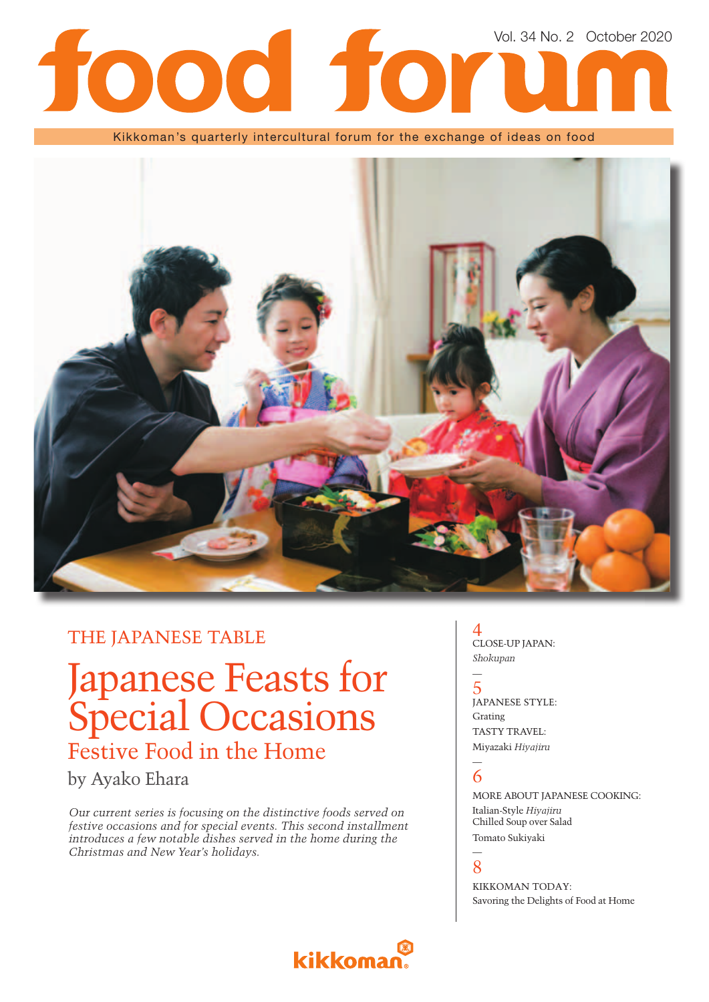## Vol. 34 No. 2 October 2020 **Dod for** 1

Kikkoman's quarterly intercultural forum for the exchange of ideas on food



### THE JAPANESE TABLE

Japanese Feasts for Special Occasions Festive Food in the Home

by Ayako Ehara

*Our current series is focusing on the distinctive foods served on festive occasions and for special events. This second installment introduces a few notable dishes served in the home during the Christmas and New Year's holidays.*

kikkoma



5 JAPANESE STYLE: Grating TASTY TRAVEL: Miyazaki *Hiyajiru*

### — 6

—

MORE ABOUT JAPANESE COOKING: Italian-Style *Hiyajiru* Chilled Soup over Salad Tomato Sukiyaki

### — 8

KIKKOMAN TODAY: Savoring the Delights of Food at Home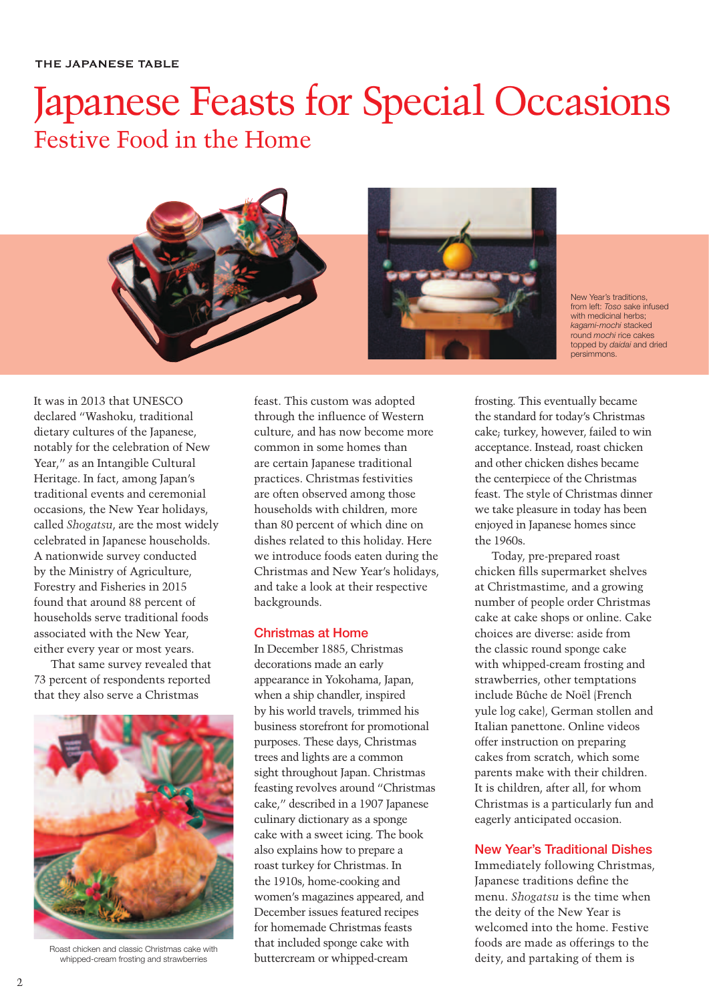## Japanese Feasts for Special Occasions Festive Food in the Home



New Year's traditions, from left: *Toso* sake infused with medicinal herbs; *kagami-mochi* stacked round *mochi* rice cakes topped by *daidai* and dried persimmons.

It was in 2013 that UNESCO declared "Washoku, traditional dietary cultures of the Japanese, notably for the celebration of New Year," as an Intangible Cultural Heritage. In fact, among Japan's traditional events and ceremonial occasions, the New Year holidays, called *Shogatsu*, are the most widely celebrated in Japanese households. A nationwide survey conducted by the Ministry of Agriculture, Forestry and Fisheries in 2015 found that around 88 percent of households serve traditional foods associated with the New Year, either every year or most years.

That same survey revealed that 73 percent of respondents reported that they also serve a Christmas



Roast chicken and classic Christmas cake with whipped-cream frosting and strawberries

feast. This custom was adopted through the influence of Western culture, and has now become more common in some homes than are certain Japanese traditional practices. Christmas festivities are often observed among those households with children, more than 80 percent of which dine on dishes related to this holiday. Here we introduce foods eaten during the Christmas and New Year's holidays, and take a look at their respective backgrounds.

### **Christmas at Home**

In December 1885, Christmas decorations made an early appearance in Yokohama, Japan, when a ship chandler, inspired by his world travels, trimmed his business storefront for promotional purposes. These days, Christmas trees and lights are a common sight throughout Japan. Christmas feasting revolves around "Christmas cake," described in a 1907 Japanese culinary dictionary as a sponge cake with a sweet icing. The book also explains how to prepare a roast turkey for Christmas. In the 1910s, home-cooking and women's magazines appeared, and December issues featured recipes for homemade Christmas feasts that included sponge cake with buttercream or whipped-cream

frosting. This eventually became the standard for today's Christmas cake; turkey, however, failed to win acceptance. Instead, roast chicken and other chicken dishes became the centerpiece of the Christmas feast. The style of Christmas dinner we take pleasure in today has been enjoyed in Japanese homes since the 1960s.

Today, pre-prepared roast chicken fills supermarket shelves at Christmastime, and a growing number of people order Christmas cake at cake shops or online. Cake choices are diverse: aside from the classic round sponge cake with whipped-cream frosting and strawberries, other temptations include Bûche de Noël (French yule log cake), German stollen and Italian panettone. Online videos offer instruction on preparing cakes from scratch, which some parents make with their children. It is children, after all, for whom Christmas is a particularly fun and eagerly anticipated occasion.

### **New Year's Traditional Dishes**

Immediately following Christmas, Japanese traditions define the menu. *Shogatsu* is the time when the deity of the New Year is welcomed into the home. Festive foods are made as offerings to the deity, and partaking of them is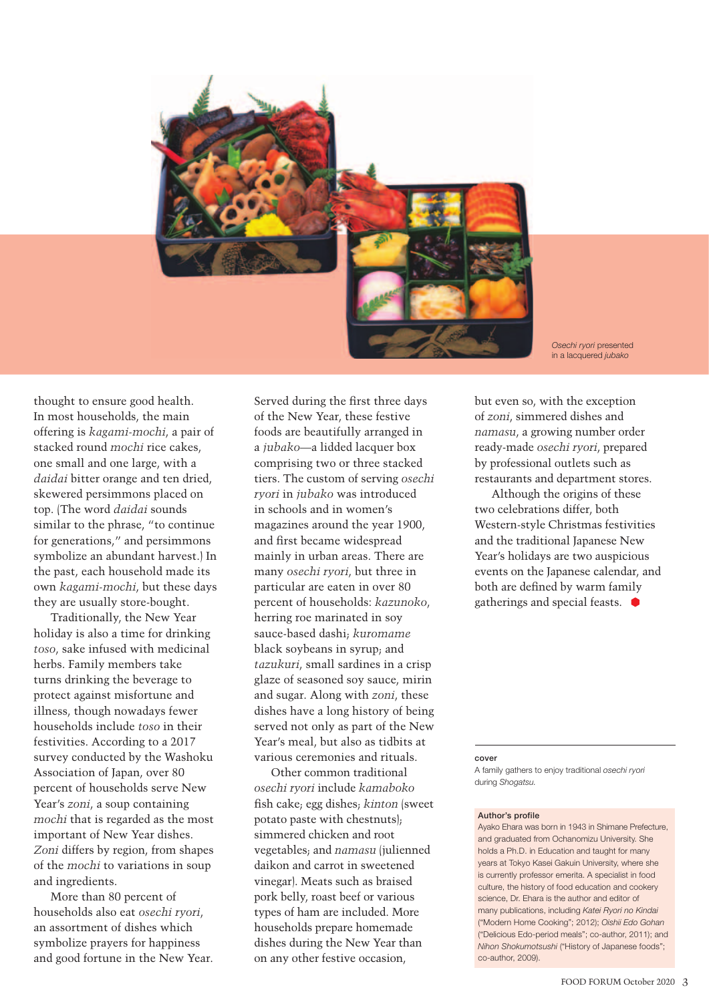

*Osechi ryori* presented in a lacquered *jubako*

thought to ensure good health. In most households, the main offering is *kagami-mochi*, a pair of stacked round *mochi* rice cakes, one small and one large, with a *daidai* bitter orange and ten dried, skewered persimmons placed on top. (The word *daidai* sounds similar to the phrase, "to continue for generations," and persimmons symbolize an abundant harvest.) In the past, each household made its own *kagami-mochi*, but these days they are usually store-bought.

Traditionally, the New Year holiday is also a time for drinking *toso*, sake infused with medicinal herbs. Family members take turns drinking the beverage to protect against misfortune and illness, though nowadays fewer households include *toso* in their festivities. According to a 2017 survey conducted by the Washoku Association of Japan, over 80 percent of households serve New Year's *zoni*, a soup containing *mochi* that is regarded as the most important of New Year dishes. *Zoni* differs by region, from shapes of the *mochi* to variations in soup and ingredients.

More than 80 percent of households also eat *osechi ryori*, an assortment of dishes which symbolize prayers for happiness and good fortune in the New Year.

Served during the first three days of the New Year, these festive foods are beautifully arranged in a *jubako*—a lidded lacquer box comprising two or three stacked tiers. The custom of serving *osechi ryori* in *jubako* was introduced in schools and in women's magazines around the year 1900, and first became widespread mainly in urban areas. There are many *osechi ryori*, but three in particular are eaten in over 80 percent of households: *kazunoko*, herring roe marinated in soy sauce-based dashi; *kuromame* black soybeans in syrup; and *tazukuri*, small sardines in a crisp glaze of seasoned soy sauce, mirin and sugar. Along with *zoni*, these dishes have a long history of being served not only as part of the New Year's meal, but also as tidbits at various ceremonies and rituals.

Other common traditional *osechi ryori* include *kamaboko* fish cake; egg dishes; *kinton* (sweet potato paste with chestnuts); simmered chicken and root vegetables; and *namasu* (julienned daikon and carrot in sweetened vinegar). Meats such as braised pork belly, roast beef or various types of ham are included. More households prepare homemade dishes during the New Year than on any other festive occasion,

but even so, with the exception of *zoni*, simmered dishes and *namasu*, a growing number order ready-made *osechi ryori*, prepared by professional outlets such as restaurants and department stores.

Although the origins of these two celebrations differ, both Western-style Christmas festivities and the traditional Japanese New Year's holidays are two auspicious events on the Japanese calendar, and both are defined by warm family gatherings and special feasts.

#### **cover**

A family gathers to enjoy traditional *osechi ryori* during *Shogatsu.* 

#### **Author's profile**

Ayako Ehara was born in 1943 in Shimane Prefecture, and graduated from Ochanomizu University. She holds a Ph.D. in Education and taught for many years at Tokyo Kasei Gakuin University, where she is currently professor emerita. A specialist in food culture, the history of food education and cookery science, Dr. Ehara is the author and editor of many publications, including *Katei Ryori no Kindai*  ("Modern Home Cooking"; 2012); *Oishii Edo Gohan* ("Delicious Edo-period meals"; co-author, 2011); and *Nihon Shokumotsushi* ("History of Japanese foods"; co-author, 2009).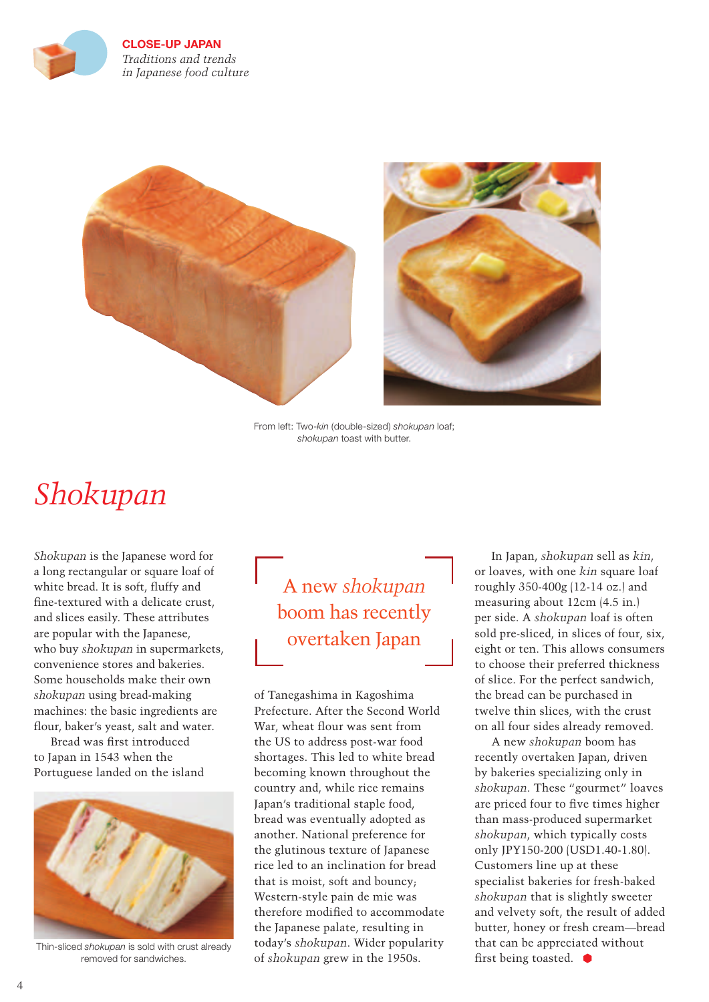



From left: Two-*kin* (double-sized) *shokupan* loaf; *shokupan* toast with butter.

## *Shokupan*

*Shokupan* is the Japanese word for a long rectangular or square loaf of white bread. It is soft, fluffy and fine-textured with a delicate crust, and slices easily. These attributes are popular with the Japanese, who buy *shokupan* in supermarkets, convenience stores and bakeries. Some households make their own *shokupan* using bread-making machines: the basic ingredients are flour, baker's yeast, salt and water.

Bread was first introduced to Japan in 1543 when the Portuguese landed on the island



Thin-sliced *shokupan* is sold with crust already removed for sandwiches.

A new *shokupan* boom has recently overtaken Japan

of Tanegashima in Kagoshima Prefecture. After the Second World War, wheat flour was sent from the US to address post-war food shortages. This led to white bread becoming known throughout the country and, while rice remains Japan's traditional staple food, bread was eventually adopted as another. National preference for the glutinous texture of Japanese rice led to an inclination for bread that is moist, soft and bouncy; Western-style pain de mie was therefore modified to accommodate the Japanese palate, resulting in today's *shokupan*. Wider popularity of *shokupan* grew in the 1950s.

In Japan, *shokupan* sell as *kin*, or loaves, with one *kin* square loaf roughly 350-400g (12-14 oz.) and measuring about 12cm (4.5 in.) per side. A *shokupan* loaf is often sold pre-sliced, in slices of four, six, eight or ten. This allows consumers to choose their preferred thickness of slice. For the perfect sandwich, the bread can be purchased in twelve thin slices, with the crust on all four sides already removed.

A new *shokupan* boom has recently overtaken Japan, driven by bakeries specializing only in *shokupan*. These "gourmet" loaves are priced four to five times higher than mass-produced supermarket *shokupan*, which typically costs only JPY150-200 (USD1.40-1.80). Customers line up at these specialist bakeries for fresh-baked *shokupan* that is slightly sweeter and velvety soft, the result of added butter, honey or fresh cream—bread that can be appreciated without first being toasted.  $\bullet$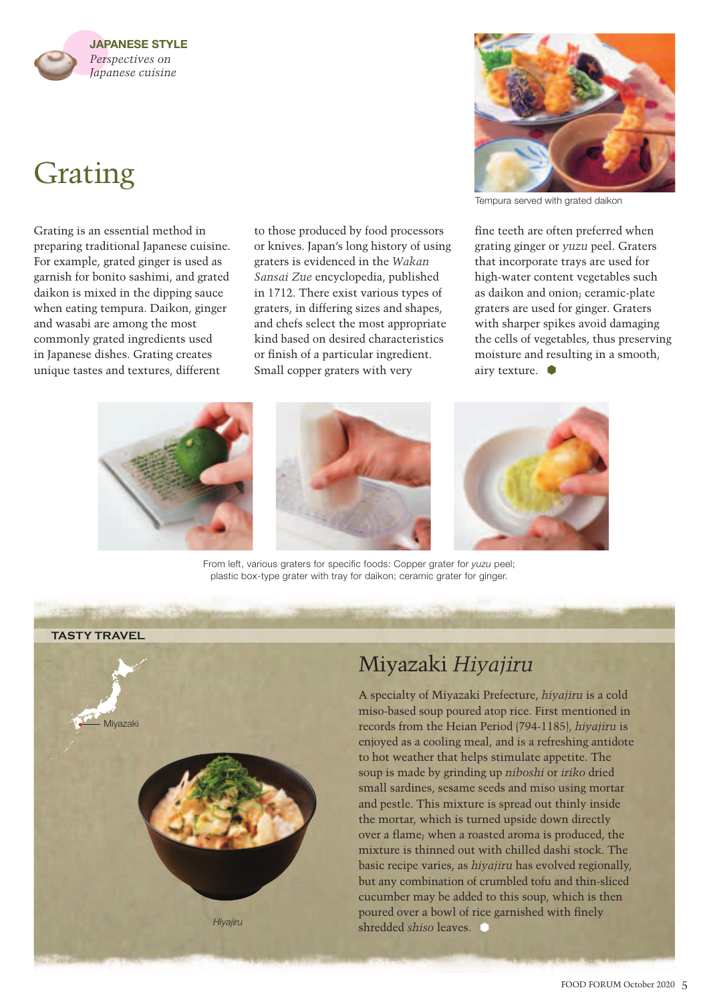### **JAPANESE STYLE** *Perspectives on Japanese cuisine*

# Grating

Grating is an essential method in preparing traditional Japanese cuisine. For example, grated ginger is used as garnish for bonito sashimi, and grated daikon is mixed in the dipping sauce when eating tempura. Daikon, ginger and wasabi are among the most commonly grated ingredients used in Japanese dishes. Grating creates unique tastes and textures, different

to those produced by food processors or knives. Japan's long history of using graters is evidenced in the *Wakan Sansai Zue* encyclopedia, published in 1712. There exist various types of graters, in differing sizes and shapes, and chefs select the most appropriate kind based on desired characteristics or finish of a particular ingredient. Small copper graters with very

From left, various graters for specific foods: Copper grater for *yuzu* peel; plastic box-type grater with tray for daikon; ceramic grater for ginger.



A specialty of Miyazaki Prefecture, *hiyajiru* is a cold miso-based soup poured atop rice. First mentioned in records from the Heian Period (794-1185), *hiyajiru* is enjoyed as a cooling meal, and is a refreshing antidote to hot weather that helps stimulate appetite. The soup is made by grinding up *niboshi* or *iriko* dried small sardines, sesame seeds and miso using mortar and pestle. This mixture is spread out thinly inside the mortar, which is turned upside down directly over a flame; when a roasted aroma is produced, the mixture is thinned out with chilled dashi stock. The basic recipe varies, as *hiyajiru* has evolved regionally, but any combination of crumbled tofu and thin-sliced cucumber may be added to this soup, which is then poured over a bowl of rice garnished with finely shredded *shiso* leaves.







fine teeth are often preferred when grating ginger or *yuzu* peel. Graters that incorporate trays are used for high-water content vegetables such as daikon and onion; ceramic-plate graters are used for ginger. Graters with sharper spikes avoid damaging the cells of vegetables, thus preserving moisture and resulting in a smooth, airy texture.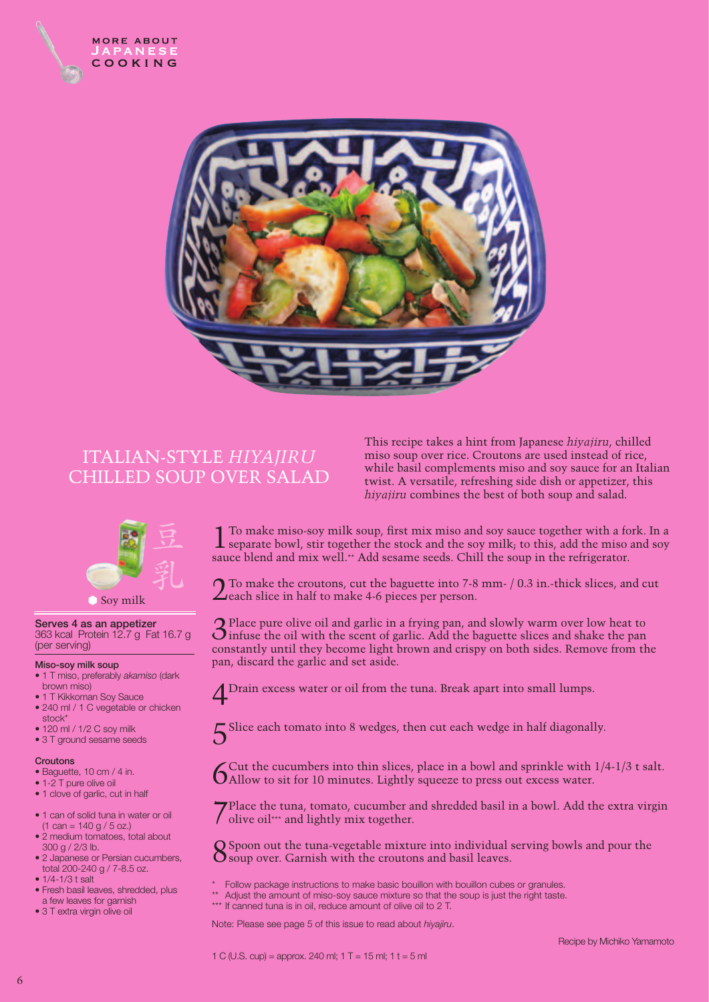



### ITALIAN-STYLE *HIYAJIRU* CHILLED SOUP OVER SALAD

### Soy milk

**Serves 4 as an appetizer** 363 kcal Protein 12.7 g Fat 16.7 g (per serving)

### **Miso-soy milk soup**

- 1 T miso, preferably *akamiso* (dark brown miso)
- 1 T Kikkoman Soy Sauce
- 240 ml / 1 C vegetable or chicken
- stock\*
- 120 ml / 1/2 C soy milk
- 3 T ground sesame seeds

### **Croutons**

- Baguette, 10 cm / 4 in.
- 1-2 T pure olive oil
- 1 clove of garlic, cut in half
- 1 can of solid tuna in water or oil  $(1 \text{ can} = 140 \text{ g} / 5 \text{ oz.})$
- 2 medium tomatoes, total about 300 g / 2/3 lb.
- 2 Japanese or Persian cucumbers, total 200-240 g / 7-8.5 oz.
- 1/4-1/3 t salt
- Fresh basil leaves, shredded, plus a few leaves for garnish
- 3 T extra virgin olive oil

This recipe takes a hint from Japanese *hiyajiru*, chilled miso soup over rice. Croutons are used instead of rice, while basil complements miso and soy sauce for an Italian twist. A versatile, refreshing side dish or appetizer, this *hiyajiru* combines the best of both soup and salad.

1 To make miso-soy milk soup, first mix miso and soy sauce together with a fork. In a separate bowl, stir together the stock and the soy milk; to this, add the miso and soy sauce blend and mix well.\*\* Add sesame seeds. Chill the soup in the refrigerator.

 $\bigcap$  To make the croutons, cut the baguette into 7-8 mm- / 0.3 in.-thick slices, and cut  $\angle$ each slice in half to make 4-6 pieces per person.

3Place pure olive oil and garlic in a frying pan, and slowly warm over low heat to infuse the oil with the scent of garlic. Add the baguette slices and shake the pan constantly until they become light brown and crispy on both sides. Remove from the pan, discard the garlic and set aside.

Drain excess water or oil from the tuna. Break apart into small lumps.

Slice each tomato into 8 wedges, then cut each wedge in half diagonally.

 $\int$ Cut the cucumbers into thin slices, place in a bowl and sprinkle with  $1/4-1/3$  t salt.<br>Allow to sit for 10 minutes. Lightly squeeze to press out excess water.

7Place the tuna, tomato, cucumber and shredded basil in a bowl. Add the extra virgin  $\int$  olive oil\*\*\* and lightly mix together.

 $\Omega$  Spoon out the tuna-vegetable mixture into individual serving bowls and pour the  $\mathbf O$  soup over. Garnish with the croutons and basil leaves.

- Follow package instructions to make basic bouillon with bouillon cubes or granules.
- Adjust the amount of miso-soy sauce mixture so that the soup is just the right taste.
- \*\*\* If canned tuna is in oil, reduce amount of olive oil to 2 T.

Note: Please see page 5 of this issue to read about *hiyajiru*.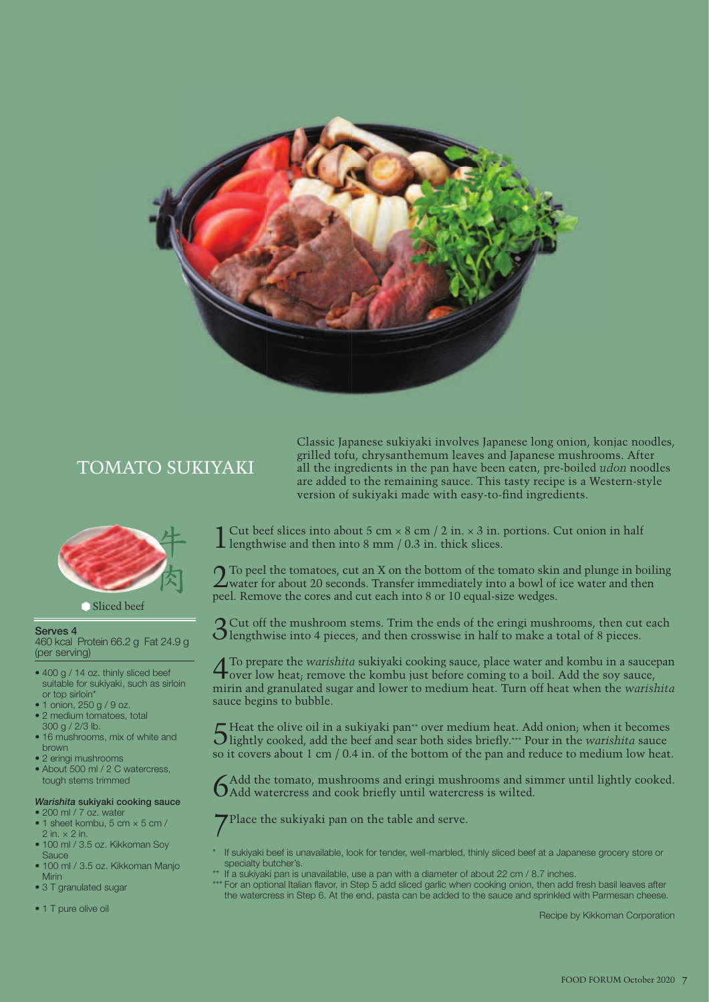

### TOMATO SUKIYAKI



### Sliced beef

#### **Serves 4**

460 kcal Protein 66.2 g Fat 24.9 g (per serving)

- 400 g / 14 oz. thinly sliced beef suitable for sukiyaki, such as sirloin or top sirloin\*
- 1 onion, 250 g / 9 oz. • 2 medium tomatoes, total
- 300 g / 2/3 lb.
- 16 mushrooms, mix of white and brown
- 2 eringi mushrooms
- About 500 ml / 2 C watercress, tough stems trimmed

### *Warishita* **sukiyaki cooking sauce**

- 200 ml / 7 oz. water • 1 sheet kombu, 5 cm  $\times$  5 cm /
- $2$  in.  $\times$  2 in.
- 100 ml / 3.5 oz. Kikkoman Soy **Sauce**
- 100 ml / 3.5 oz. Kikkoman Manjo Mirin
- 3 T granulated sugar
- 1 T pure olive oil

Classic Japanese sukiyaki involves Japanese long onion, konjac noodles, grilled tofu, chrysanthemum leaves and Japanese mushrooms. After all the ingredients in the pan have been eaten, pre-boiled *udon* noodles are added to the remaining sauce. This tasty recipe is a Western-style version of sukiyaki made with easy-to-find ingredients.

Cut beef slices into about 5 cm  $\times$  8 cm  $/$  2 in.  $\times$  3 in. portions. Cut onion in half **L** lengthwise and then into 8 mm / 0.3 in. thick slices.

2To peel the tomatoes, cut an X on the bottom of the tomato skin and plunge in boiling water for about 20 seconds. Transfer immediately into a bowl of ice water and then peel. Remove the cores and cut each into 8 or 10 equal-size wedges.

3Cut off the mushroom stems. Trim the ends of the eringi mushrooms, then cut each **O** lengthwise into 4 pieces, and then crosswise in half to make a total of 8 pieces.

4To prepare the *warishita* sukiyaki cooking sauce, place water and kombu in a saucepan over low heat; remove the kombu just before coming to a boil. Add the soy sauce, mirin and granulated sugar and lower to medium heat. Turn off heat when the *warishita* sauce begins to bubble.

5 Heat the olive oil in a sukiyaki pan<sup>\*\*</sup> over medium heat. Add onion; when it becomes bightly cooked, add the beef and sear both sides briefly.\*\*\* Pour in the *warishita* sauce so it covers about 1 cm / 0.4 in. of the bottom of the pan and reduce to medium low heat.

 $6A$ dd the tomato, mushrooms and eringi mushrooms and simmer until lightly cooked.<br> $6A$ dd watercress and cook briefly until watercress is wilted.

7Place the sukiyaki pan on the table and serve.

- If sukiyaki beef is unavailable, look for tender, well-marbled, thinly sliced beef at a Japanese grocery store or specialty butcher's.
- \*\* If a sukiyaki pan is unavailable, use a pan with a diameter of about 22 cm / 8.7 inches.
- \*\*\* For an optional Italian flavor, in Step 5 add sliced garlic when cooking onion, then add fresh basil leaves after the watercress in Step 6. At the end, pasta can be added to the sauce and sprinkled with Parmesan cheese.

Recipe by Kikkoman Corporation